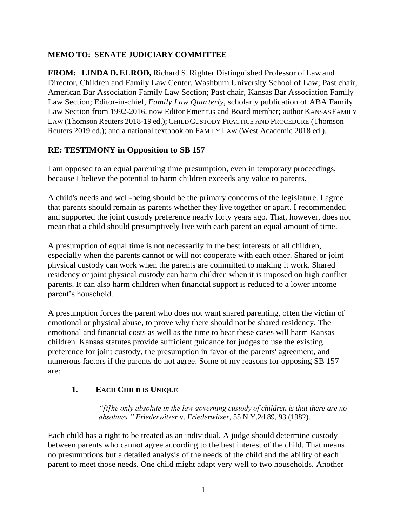## **MEMO TO: SENATE JUDICIARY COMMITTEE**

**FROM: LINDA D.ELROD,** Richard S.Righter Distinguished Professor of Law and Director, Children and Family Law Center, Washburn University School of Law; Past chair, American Bar Association Family Law Section; Past chair, Kansas Bar Association Family Law Section; Editor-in-chief, *Family Law Quarterly,* scholarly publication of ABA Family Law Section from 1992-2016, now Editor Emeritus and Board member; author KANSASFAMILY LAW (Thomson Reuters 2018-19 ed.); CHILDCUSTODY PRACTICE AND PROCEDURE (Thomson Reuters 2019 ed.); and a national textbook on FAMILY LAW (West Academic 2018 ed.).

### **RE: TESTIMONY in Opposition to SB 157**

I am opposed to an equal parenting time presumption, even in temporary proceedings, because I believe the potential to harm children exceeds any value to parents.

A child's needs and well-being should be the primary concerns of the legislature. I agree that parents should remain as parents whether they live together or apart. I recommended and supported the joint custody preference nearly forty years ago. That, however, does not mean that a child should presumptively live with each parent an equal amount of time.

A presumption of equal time is not necessarily in the best interests of all children, especially when the parents cannot or will not cooperate with each other. Shared or joint physical custody can work when the parents are committed to making it work. Shared residency or joint physical custody can harm children when it is imposed on high conflict parents. It can also harm children when financial support is reduced to a lower income parent's household.

A presumption forces the parent who does not want shared parenting, often the victim of emotional or physical abuse, to prove why there should not be shared residency. The emotional and financial costs as well as the time to hear these cases will harm Kansas children. Kansas statutes provide sufficient guidance for judges to use the existing preference for joint custody, the presumption in favor of the parents' agreement, and numerous factors if the parents do not agree. Some of my reasons for opposing SB 157 are:

# **1. EACH CHILD IS UNIQUE**

*"[t]he only absolute in the law governing custody of children is that there are no absolutes." Friederwitzer* v. *Friederwitzer*, 55 N.Y.2d 89, 93 (1982).

Each child has a right to be treated as an individual. A judge should determine custody between parents who cannot agree according to the best interest of the child. That means no presumptions but a detailed analysis of the needs of the child and the ability of each parent to meet those needs. One child might adapt very well to two households. Another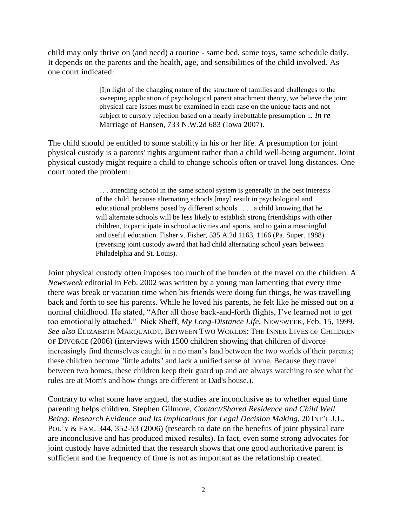child may only thrive on (and need) a routine - same bed, same toys, same schedule daily. It depends on the parents and the health, age, and sensibilities of the child involved. As one court indicated:

> [I]n light of the changing nature of the structure of families and challenges to the sweeping application of psychological parent attachment theory, we believe the joint physical care issues must be examined in each case on the unique facts and not subject to cursory rejection based on a nearly irrebuttable presumption ... *In re*  Marriage of Hansen, 733 N.W.2d 683 (Iowa 2007).

The child should be entitled to some stability in his or her life. A presumption for joint physical custody is a parents' rights argument rather than a child well-being argument. Joint physical custody might require a child to change schools often or travel long distances. One court noted the problem:

> . . . attending school in the same school system is generally in the best interests of the child, because alternating schools [may] result in psychological and educational problems posed by different schools . . . . a child knowing that he will alternate schools will be less likely to establish strong friendships with other children, to participate in school activities and sports, and to gain a meaningful and useful education. Fisher v. Fisher, 535 A.2d 1163, 1166 (Pa. Super. 1988) (reversing joint custody award that had child alternating school years between Philadelphia and St. Louis).

Joint physical custody often imposes too much of the burden of the travel on the children. A *Newsweek* editorial in Feb. 2002 was written by a young man lamenting that every time there was break or vacation time when his friends were doing fun things, he was travelling back and forth to see his parents. While he loved his parents, he felt like he missed out on a normal childhood. He stated, "After all those back-and-forth flights, I've learned not to get too emotionally attached." Nick Sheff, *My Long-Distance Life*, NEWSWEEK, Feb. 15, 1999. *See also* ELIZABETH MARQUARDT, BETWEEN TWO WORLDS: THE INNER LIVES OF CHILDREN OF DIVORCE (2006) (interviews with 1500 children showing that children of divorce increasingly find themselves caught in a no man's land between the two worlds of their parents; these children become "little adults" and lack a unified sense of home. Because they travel between two homes, these children keep their guard up and are always watching to see what the rules are at Mom's and how things are different at Dad's house.).

Contrary to what some have argued, the studies are inconclusive as to whether equal time parenting helps children. Stephen Gilmore, *Contact/Shared Residence and Child Well Being: Research Evidence and Its Implications for Legal Decision Making,* 20 INT'L J.L. POL'Y & FAM. 344, 352-53 (2006) (research to date on the benefits of joint physical care are inconclusive and has produced mixed results). In fact, even some strong advocates for joint custody have admitted that the research shows that one good authoritative parent is sufficient and the frequency of time is not as important as the relationship created.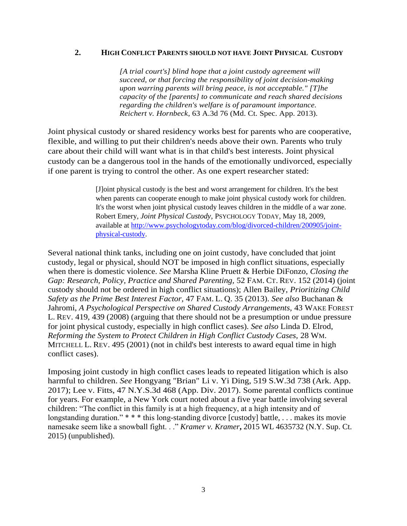#### **2. HIGH CONFLICT PARENTS SHOULD NOT HAVE JOINT PHYSICAL CUSTODY**

*[A trial court's] blind hope that a joint custody agreement will succeed, or that forcing the responsibility of joint decision-making upon warring parents will bring peace, is not acceptable." [T]he capacity of the [parents] to communicate and reach shared decisions regarding the children's welfare is of paramount importance. Reichert v. Hornbeck*, 63 A.3d 76 (Md. Ct. Spec. App. 2013).

Joint physical custody or shared residency works best for parents who are cooperative, flexible, and willing to put their children's needs above their own. Parents who truly care about their child will want what is in that child's best interests. Joint physical custody can be a dangerous tool in the hands of the emotionally undivorced, especially if one parent is trying to control the other. As one expert researcher stated:

> [J]oint physical custody is the best and worst arrangement for children. It's the best when parents can cooperate enough to make joint physical custody work for children. It's the worst when joint physical custody leaves children in the middle of a war zone. Robert Emery, *Joint Physical Custody,* PSYCHOLOGY TODAY, May 18, 2009, available at [http://www.psychologytoday.com/blog/divorced-children/200905/joint](http://www.psychologytoday.com/blog/divorced-children/200905/joint-physical-custody)[physical-custody.](http://www.psychologytoday.com/blog/divorced-children/200905/joint-physical-custody)

Several national think tanks, including one on joint custody, have concluded that joint custody, legal or physical, should NOT be imposed in high conflict situations, especially when there is domestic violence. *See* Marsha Kline Pruett & Herbie DiFonzo, *Closing the Gap: Research, Policy, Practice and Shared Parenting,* 52 FAM. CT. REV. 152 (2014) (joint custody should not be ordered in high conflict situations); Allen Bailey, *Prioritizing Child Safety as the Prime Best Interest Factor,* 47 FAM. L. Q. 35 (2013). *See also* Buchanan & Jahromi, *A Psychological Perspective on Shared Custody Arrangements,* 43 WAKE FOREST L. REV. 419, 439 (2008) (arguing that there should not be a presumption or undue pressure for joint physical custody, especially in high conflict cases). *See also* Linda D. Elrod, *Reforming the System to Protect Children in High Conflict Custody Cases,* 28 WM. MITCHELL L. REV. 495 (2001) (not in child's best interests to award equal time in high conflict cases).

Imposing joint custody in high conflict cases leads to repeated litigation which is also harmful to children. *See* Hongyang "Brian" Li v. Yi Ding, 519 S.W.3d 738 (Ark. App. 2017); Lee v. Fitts, 47 N.Y.S.3d 468 (App. Div. 2017). Some parental conflicts continue for years. For example, a New York court noted about a five year battle involving several children: "The conflict in this family is at a high frequency, at a high intensity and of longstanding duration." \* \* \* this long-standing divorce [custody] battle, ... makes its movie namesake seem like a snowball fight. . ." *Kramer v. Kramer***,** 2015 WL 4635732 (N.Y. Sup. Ct. 2015) (unpublished).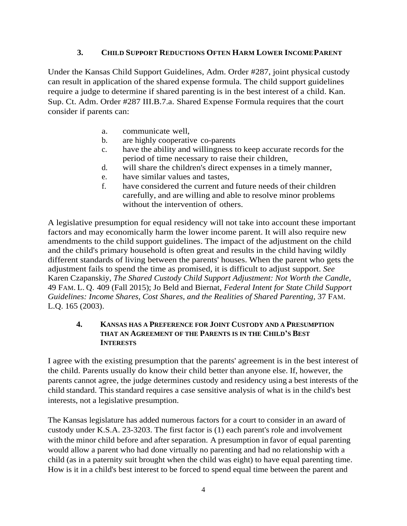# **3. CHILD SUPPORT REDUCTIONS OFTEN HARM LOWER INCOMEPARENT**

Under the Kansas Child Support Guidelines, Adm. Order #287, joint physical custody can result in application of the shared expense formula. The child support guidelines require a judge to determine if shared parenting is in the best interest of a child. Kan. Sup. Ct. Adm. Order #287 III.B.7.a. Shared Expense Formula requires that the court consider if parents can:

- a. communicate well,
- b. are highly cooperative co-parents
- c. have the ability and willingness to keep accurate records for the period of time necessary to raise their children,
- d. will share the children's direct expenses in a timely manner,
- e. have similar values and tastes,
- f. have considered the current and future needs of their children carefully, and are willing and able to resolve minor problems without the intervention of others.

A legislative presumption for equal residency will not take into account these important factors and may economically harm the lower income parent. It will also require new amendments to the child support guidelines. The impact of the adjustment on the child and the child's primary household is often great and results in the child having wildly different standards of living between the parents' houses. When the parent who gets the adjustment fails to spend the time as promised, it is difficult to adjust support. *See* Karen Czapanskiy, *The Shared Custody Child Support Adjustment: Not Worth the Candle,*  49 FAM. L. Q. 409 (Fall 2015); Jo Beld and Biernat, *Federal Intent for State Child Support Guidelines: Income Shares, Cost Shares, and the Realities of Shared Parenting,* 37 FAM. L.Q. 165 (2003).

### **4. KANSAS HAS A PREFERENCE FOR JOINT CUSTODY AND A PRESUMPTION THAT AN AGREEMENT OF THE PARENTS IS IN THE CHILD'S BEST INTERESTS**

I agree with the existing presumption that the parents' agreement is in the best interest of the child. Parents usually do know their child better than anyone else. If, however, the parents cannot agree, the judge determines custody and residency using a best interests of the child standard. This standard requires a case sensitive analysis of what is in the child's best interests, not a legislative presumption.

The Kansas legislature has added numerous factors for a court to consider in an award of custody under K.S.A. 23-3203. The first factor is (1) each parent's role and involvement with the minor child before and after separation. A presumption in favor of equal parenting would allow a parent who had done virtually no parenting and had no relationship with a child (as in a paternity suit brought when the child was eight) to have equal parenting time. How is it in a child's best interest to be forced to spend equal time between the parent and